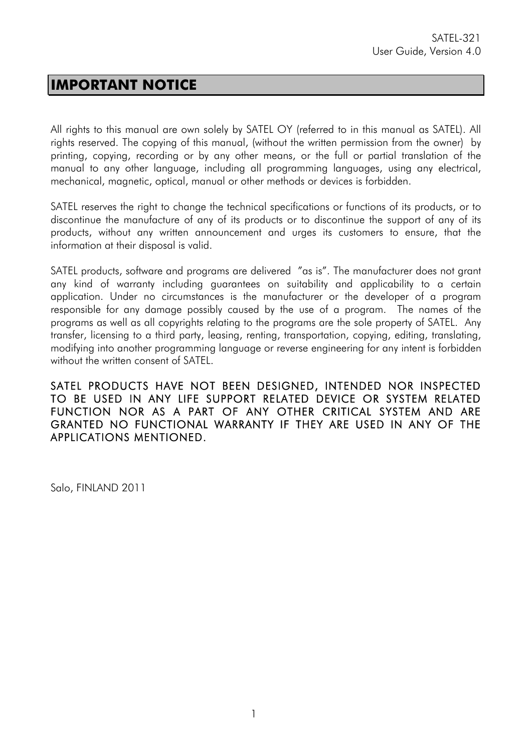### **IMPORTANT NOTICE**

All rights to this manual are own solely by SATEL OY (referred to in this manual as SATEL). All rights reserved. The copying of this manual, (without the written permission from the owner) by printing, copying, recording or by any other means, or the full or partial translation of the manual to any other language, including all programming languages, using any electrical, mechanical, magnetic, optical, manual or other methods or devices is forbidden.

SATEL reserves the right to change the technical specifications or functions of its products, or to discontinue the manufacture of any of its products or to discontinue the support of any of its products, without any written announcement and urges its customers to ensure, that the information at their disposal is valid.

SATEL products, software and programs are delivered "as is". The manufacturer does not grant any kind of warranty including guarantees on suitability and applicability to a certain application. Under no circumstances is the manufacturer or the developer of a program responsible for any damage possibly caused by the use of a program. The names of the programs as well as all copyrights relating to the programs are the sole property of SATEL. Any transfer, licensing to a third party, leasing, renting, transportation, copying, editing, translating, modifying into another programming language or reverse engineering for any intent is forbidden without the written consent of SATEL.

SATEL PRODUCTS HAVE NOT BEEN DESIGNED, INTENDED NOR INSPECTED TO BE USED IN ANY LIFE SUPPORT RELATED DEVICE OR SYSTEM RELATED FUNCTION NOR AS A PART OF ANY OTHER CRITICAL SYSTEM AND ARE GRANTED NO FUNCTIONAL WARRANTY IF THEY ARE USED IN ANY OF THE APPLICATIONS MENTIONED.

Salo, FINLAND 2011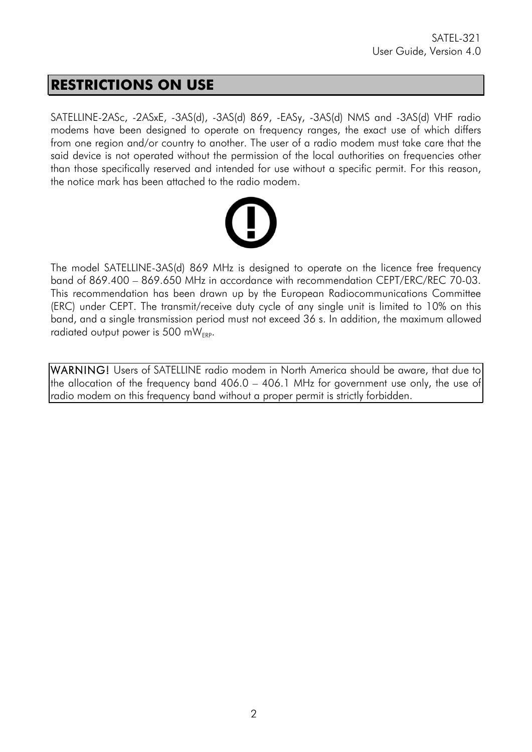### **RESTRICTIONS ON USE**

SATELLINE-2ASc, -2ASxE, -3AS(d), -3AS(d) 869, -EASy, -3AS(d) NMS and -3AS(d) VHF radio modems have been designed to operate on frequency ranges, the exact use of which differs from one region and/or country to another. The user of a radio modem must take care that the said device is not operated without the permission of the local authorities on frequencies other than those specifically reserved and intended for use without a specific permit. For this reason, the notice mark has been attached to the radio modem.



The model SATELLINE-3AS(d) 869 MHz is designed to operate on the licence free frequency band of 869.400 – 869.650 MHz in accordance with recommendation CEPT/ERC/REC 70-03. This recommendation has been drawn up by the European Radiocommunications Committee (ERC) under CEPT. The transmit/receive duty cycle of any single unit is limited to 10% on this band, and a single transmission period must not exceed 36 s. In addition, the maximum allowed radiated output power is 500 m $W_{EPP}$ .

WARNING! Users of SATELLINE radio modem in North America should be aware, that due to the allocation of the frequency band 406.0 – 406.1 MHz for government use only, the use of radio modem on this frequency band without a proper permit is strictly forbidden.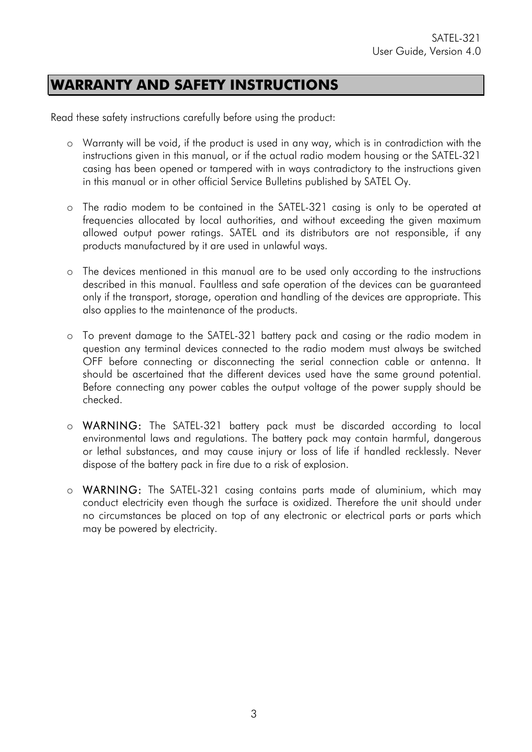### **WARRANTY AND SAFETY INSTRUCTIONS**

Read these safety instructions carefully before using the product:

- o Warranty will be void, if the product is used in any way, which is in contradiction with the instructions given in this manual, or if the actual radio modem housing or the SATEL-321 casing has been opened or tampered with in ways contradictory to the instructions given in this manual or in other official Service Bulletins published by SATEL Oy.
- o The radio modem to be contained in the SATEL-321 casing is only to be operated at frequencies allocated by local authorities, and without exceeding the given maximum allowed output power ratings. SATEL and its distributors are not responsible, if any products manufactured by it are used in unlawful ways.
- o The devices mentioned in this manual are to be used only according to the instructions described in this manual. Faultless and safe operation of the devices can be guaranteed only if the transport, storage, operation and handling of the devices are appropriate. This also applies to the maintenance of the products.
- o To prevent damage to the SATEL-321 battery pack and casing or the radio modem in question any terminal devices connected to the radio modem must always be switched OFF before connecting or disconnecting the serial connection cable or antenna. It should be ascertained that the different devices used have the same ground potential. Before connecting any power cables the output voltage of the power supply should be checked.
- o WARNING: The SATEL-321 battery pack must be discarded according to local environmental laws and regulations. The battery pack may contain harmful, dangerous or lethal substances, and may cause injury or loss of life if handled recklessly. Never dispose of the battery pack in fire due to a risk of explosion.
- o WARNING: The SATEL-321 casing contains parts made of aluminium, which may conduct electricity even though the surface is oxidized. Therefore the unit should under no circumstances be placed on top of any electronic or electrical parts or parts which may be powered by electricity.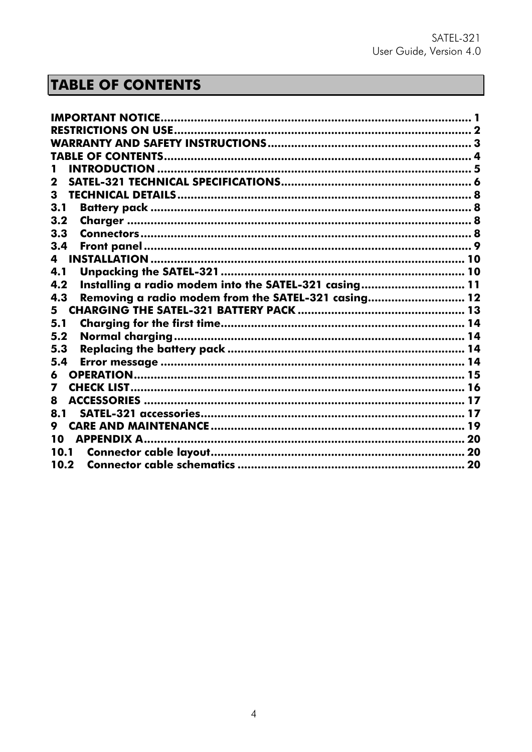# **TABLE OF CONTENTS**

| <b>IMPORTANT NOTICE</b>                                      |  |
|--------------------------------------------------------------|--|
|                                                              |  |
|                                                              |  |
|                                                              |  |
|                                                              |  |
| 2                                                            |  |
| 3                                                            |  |
| 3.1                                                          |  |
| 3.2                                                          |  |
| 3.3                                                          |  |
| 3.4                                                          |  |
| 4                                                            |  |
| 4.1                                                          |  |
| Installing a radio modem into the SATEL-321 casing 11<br>4.2 |  |
| Removing a radio modem from the SATEL-321 casing 12<br>4.3   |  |
| 5.                                                           |  |
| 5.1                                                          |  |
| 5.2                                                          |  |
| 5.3                                                          |  |
| 5.4                                                          |  |
| 6                                                            |  |
| 7                                                            |  |
| ACCESSORIES ………………………………………………………………………………… 17<br>8          |  |
| 8.1                                                          |  |
| 9                                                            |  |
| 10                                                           |  |
| 10.1                                                         |  |
| 10.2                                                         |  |
|                                                              |  |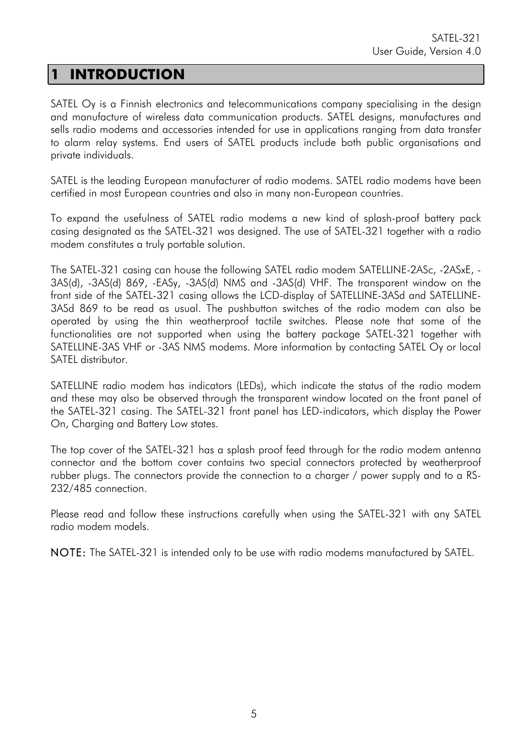# **1 INTRODUCTION**

SATEL Oy is a Finnish electronics and telecommunications company specialising in the design and manufacture of wireless data communication products. SATEL designs, manufactures and sells radio modems and accessories intended for use in applications ranging from data transfer to alarm relay systems. End users of SATEL products include both public organisations and private individuals.

SATEL is the leading European manufacturer of radio modems. SATEL radio modems have been certified in most European countries and also in many non-European countries.

To expand the usefulness of SATEL radio modems a new kind of splash-proof battery pack casing designated as the SATEL-321 was designed. The use of SATEL-321 together with a radio modem constitutes a truly portable solution.

The SATEL-321 casing can house the following SATEL radio modem SATELLINE-2ASc, -2ASxE, - 3AS(d), -3AS(d) 869, -EASy, -3AS(d) NMS and -3AS(d) VHF. The transparent window on the front side of the SATEL-321 casing allows the LCD-display of SATELLINE-3ASd and SATELLINE-3ASd 869 to be read as usual. The pushbutton switches of the radio modem can also be operated by using the thin weatherproof tactile switches. Please note that some of the functionalities are not supported when using the battery package SATEL-321 together with SATELLINE-3AS VHF or -3AS NMS modems. More information by contacting SATEL Oy or local SATEL distributor.

SATELLINE radio modem has indicators (LEDs), which indicate the status of the radio modem and these may also be observed through the transparent window located on the front panel of the SATEL-321 casing. The SATEL-321 front panel has LED-indicators, which display the Power On, Charging and Battery Low states.

The top cover of the SATEL-321 has a splash proof feed through for the radio modem antenna connector and the bottom cover contains two special connectors protected by weatherproof rubber plugs. The connectors provide the connection to a charger / power supply and to a RS-232/485 connection.

Please read and follow these instructions carefully when using the SATEL-321 with any SATEL radio modem models.

NOTE: The SATEL-321 is intended only to be use with radio modems manufactured by SATEL.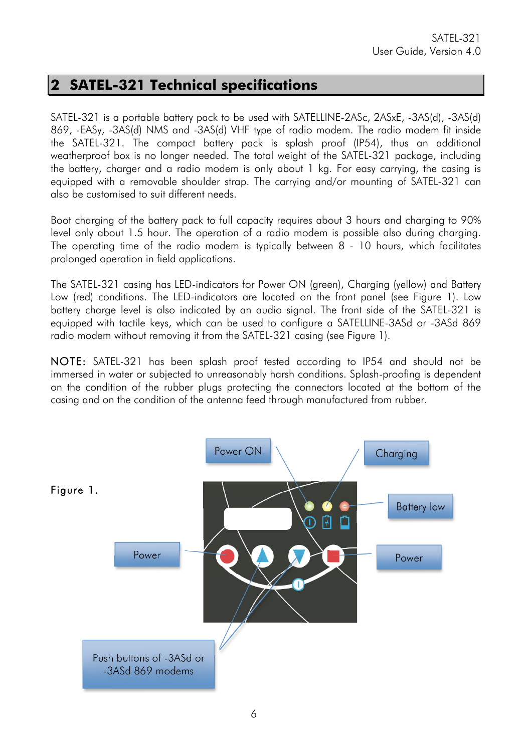### **2 SATEL-321 Technical specifications**

SATEL-321 is a portable battery pack to be used with SATELLINE-2ASc, 2ASxE, -3AS(d), -3AS(d) 869, -EASy, -3AS(d) NMS and -3AS(d) VHF type of radio modem. The radio modem fit inside the SATEL-321. The compact battery pack is splash proof (IP54), thus an additional weatherproof box is no longer needed. The total weight of the SATEL-321 package, including the battery, charger and a radio modem is only about 1 kg. For easy carrying, the casing is equipped with a removable shoulder strap. The carrying and/or mounting of SATEL-321 can also be customised to suit different needs.

Boot charging of the battery pack to full capacity requires about 3 hours and charging to 90% level only about 1.5 hour. The operation of a radio modem is possible also during charging. The operating time of the radio modem is typically between 8 - 10 hours, which facilitates prolonged operation in field applications.

The SATEL-321 casing has LED-indicators for Power ON (green), Charging (yellow) and Battery Low (red) conditions. The LED-indicators are located on the front panel (see Figure 1). Low battery charge level is also indicated by an audio signal. The front side of the SATEL-321 is equipped with tactile keys, which can be used to configure a SATELLINE-3ASd or -3ASd 869 radio modem without removing it from the SATEL-321 casing (see Figure 1).

NOTE: SATEL-321 has been splash proof tested according to IP54 and should not be immersed in water or subjected to unreasonably harsh conditions. Splash-proofing is dependent on the condition of the rubber plugs protecting the connectors located at the bottom of the casing and on the condition of the antenna feed through manufactured from rubber.

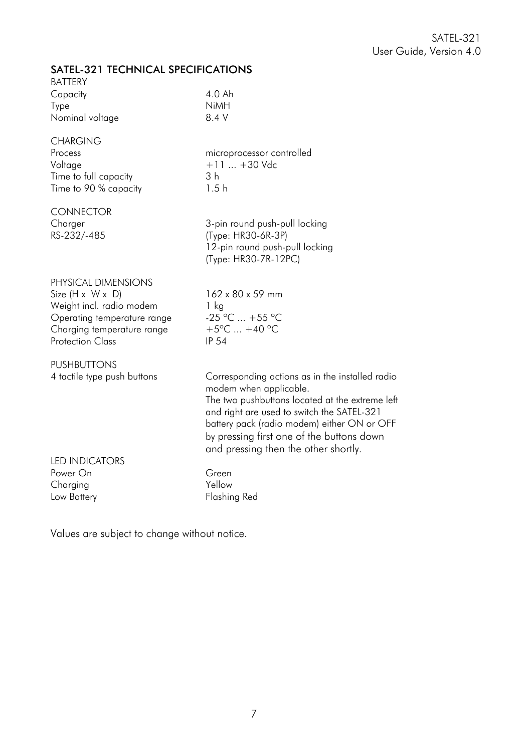#### SATEL-321 TECHNICAL SPECIFICATIONS

| SATLE-SZT TECHNYCAL SELCIHICATIONS<br><b>BATTERY</b>  |                                                                           |
|-------------------------------------------------------|---------------------------------------------------------------------------|
| Capacity                                              | 4.0 Ah                                                                    |
| Type                                                  | <b>NiMH</b>                                                               |
| Nominal voltage                                       | 8.4 V                                                                     |
| <b>CHARGING</b>                                       |                                                                           |
| Process                                               | microprocessor controlled                                                 |
| Voltage                                               | $+11$ $+30$ Vdc                                                           |
| Time to full capacity<br>Time to 90 % capacity        | 3 <sub>h</sub><br>1.5h                                                    |
|                                                       |                                                                           |
| <b>CONNECTOR</b>                                      |                                                                           |
| Charger<br>RS-232/-485                                | 3-pin round push-pull locking<br>(Type: HR30-6R-3P)                       |
|                                                       | 12-pin round push-pull locking                                            |
|                                                       | (Type: HR30-7R-12PC)                                                      |
| PHYSICAL DIMENSIONS                                   |                                                                           |
| Size $(H \times W \times D)$                          | 162 x 80 x 59 mm                                                          |
| Weight incl. radio modem                              | $1$ kg                                                                    |
| Operating temperature range                           | $-25$ °C  +55 °C                                                          |
| Charging temperature range<br><b>Protection Class</b> | $+5^{\circ}$ C $+40^{\circ}$ C<br><b>IP 54</b>                            |
|                                                       |                                                                           |
| <b>PUSHBUTTONS</b>                                    |                                                                           |
| 4 tactile type push buttons                           | Corresponding actions as in the installed radio<br>modem when applicable. |
|                                                       | The two pushbuttons located at the extreme left                           |
|                                                       | and right are used to switch the SATEL-321                                |
|                                                       | battery pack (radio modem) either ON or OFF                               |
|                                                       | by pressing first one of the buttons down                                 |
| <b>LED INDICATORS</b>                                 | and pressing then the other shortly.                                      |
| Power On                                              | Green                                                                     |
| Charging                                              | Yellow                                                                    |
| Low Battery                                           | <b>Flashing Red</b>                                                       |

Values are subject to change without notice.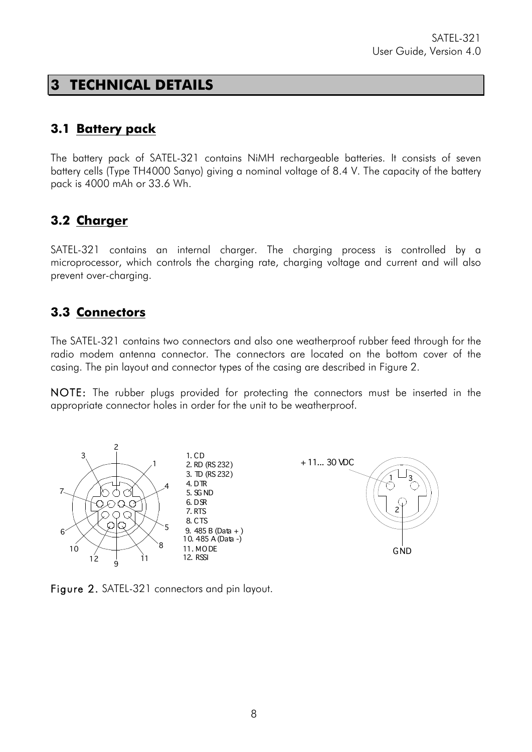### **3 TECHNICAL DETAILS**

#### **3.1 Battery pack**

The battery pack of SATEL-321 contains NiMH rechargeable batteries. It consists of seven battery cells (Type TH4000 Sanyo) giving a nominal voltage of 8.4 V. The capacity of the battery pack is 4000 mAh or 33.6 Wh.

#### **3.2 Charger**

SATEL-321 contains an internal charger. The charging process is controlled by a microprocessor, which controls the charging rate, charging voltage and current and will also prevent over-charging.

#### **3.3 Connectors**

The SATEL-321 contains two connectors and also one weatherproof rubber feed through for the radio modem antenna connector. The connectors are located on the bottom cover of the casing. The pin layout and connector types of the casing are described in Figure 2.

NOTE: The rubber plugs provided for protecting the connectors must be inserted in the appropriate connector holes in order for the unit to be weatherproof.



Figure 2. SATEL-321 connectors and pin layout.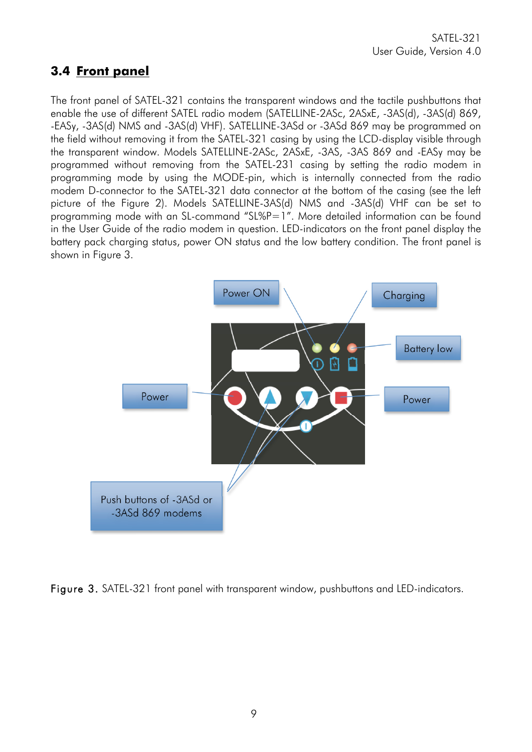#### **3.4 Front panel**

The front panel of SATEL-321 contains the transparent windows and the tactile pushbuttons that enable the use of different SATEL radio modem (SATELLINE-2ASc, 2ASxE, -3AS(d), -3AS(d) 869, -EASy, -3AS(d) NMS and -3AS(d) VHF). SATELLINE-3ASd or -3ASd 869 may be programmed on the field without removing it from the SATEL-321 casing by using the LCD-display visible through the transparent window. Models SATELLINE-2ASc, 2ASxE, -3AS, -3AS 869 and -EASy may be programmed without removing from the SATEL-231 casing by setting the radio modem in programming mode by using the MODE-pin, which is internally connected from the radio modem D-connector to the SATEL-321 data connector at the bottom of the casing (see the left picture of the Figure 2). Models SATELLINE-3AS(d) NMS and -3AS(d) VHF can be set to programming mode with an SL-command "SL%P=1". More detailed information can be found in the User Guide of the radio modem in question. LED-indicators on the front panel display the battery pack charging status, power ON status and the low battery condition. The front panel is shown in Figure 3.



Figure 3. SATEL-321 front panel with transparent window, pushbuttons and LED-indicators.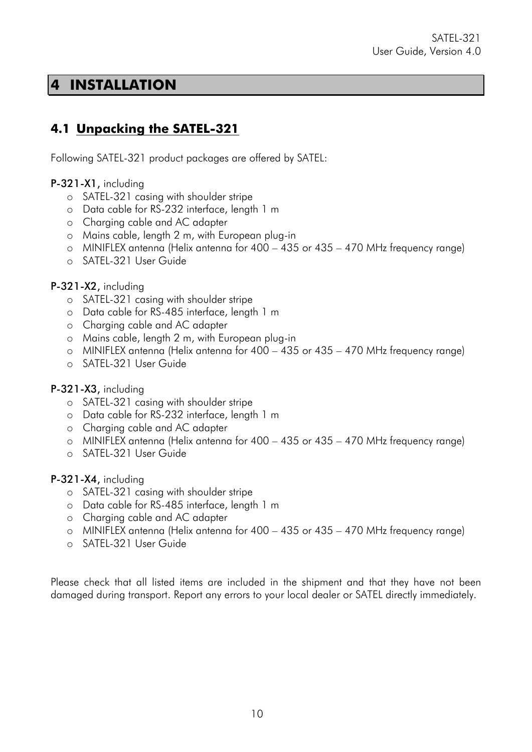### **4 INSTALLATION**

### **4.1 Unpacking the SATEL-321**

Following SATEL-321 product packages are offered by SATEL:

#### P-321-X1, including

- o SATEL-321 casing with shoulder stripe
- o Data cable for RS-232 interface, length 1 m
- o Charging cable and AC adapter
- o Mains cable, length 2 m, with European plug-in
- o MINIFLEX antenna (Helix antenna for 400 435 or 435 470 MHz frequency range)
- o SATEL-321 User Guide

#### P-321-X2, including

- o SATEL-321 casing with shoulder stripe
- o Data cable for RS-485 interface, length 1 m
- o Charging cable and AC adapter
- o Mains cable, length 2 m, with European plug-in
- o MINIFLEX antenna (Helix antenna for 400 435 or 435 470 MHz frequency range)
- o SATEL-321 User Guide

#### P-321-X3, including

- o SATEL-321 casing with shoulder stripe
- o Data cable for RS-232 interface, length 1 m
- o Charging cable and AC adapter
- o MINIFLEX antenna (Helix antenna for 400 435 or 435 470 MHz frequency range)
- o SATEL-321 User Guide

#### P-321-X4, including

- o SATEL-321 casing with shoulder stripe
- o Data cable for RS-485 interface, length 1 m
- o Charging cable and AC adapter
- o MINIFLEX antenna (Helix antenna for 400 435 or 435 470 MHz frequency range)
- o SATEL-321 User Guide

Please check that all listed items are included in the shipment and that they have not been damaged during transport. Report any errors to your local dealer or SATEL directly immediately.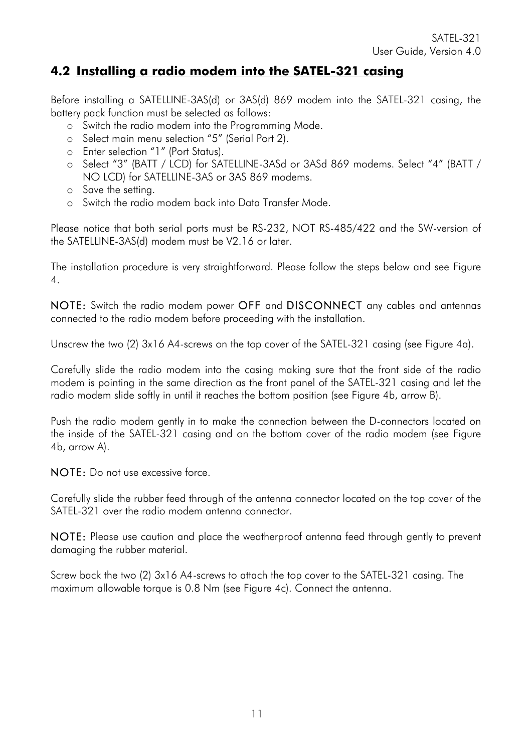#### **4.2 Installing a radio modem into the SATEL-321 casing**

Before installing a SATELLINE-3AS(d) or 3AS(d) 869 modem into the SATEL-321 casing, the battery pack function must be selected as follows:

- o Switch the radio modem into the Programming Mode.
- o Select main menu selection "5" (Serial Port 2).
- o Enter selection "1" (Port Status).
- o Select "3" (BATT / LCD) for SATELLINE-3ASd or 3ASd 869 modems. Select "4" (BATT / NO LCD) for SATELLINE-3AS or 3AS 869 modems.
- o Save the setting.
- o Switch the radio modem back into Data Transfer Mode.

Please notice that both serial ports must be RS-232, NOT RS-485/422 and the SW-version of the SATELLINE-3AS(d) modem must be V2.16 or later.

The installation procedure is very straightforward. Please follow the steps below and see Figure 4.

NOTE: Switch the radio modem power OFF and DISCONNECT any cables and antennas connected to the radio modem before proceeding with the installation.

Unscrew the two (2) 3x16 A4-screws on the top cover of the SATEL-321 casing (see Figure 4a).

Carefully slide the radio modem into the casing making sure that the front side of the radio modem is pointing in the same direction as the front panel of the SATEL-321 casing and let the radio modem slide softly in until it reaches the bottom position (see Figure 4b, arrow B).

Push the radio modem gently in to make the connection between the D-connectors located on the inside of the SATEL-321 casing and on the bottom cover of the radio modem (see Figure 4b, arrow A).

NOTE: Do not use excessive force.

Carefully slide the rubber feed through of the antenna connector located on the top cover of the SATEL-321 over the radio modem antenna connector.

NOTE: Please use caution and place the weatherproof antenna feed through gently to prevent damaging the rubber material.

Screw back the two (2) 3x16 A4-screws to attach the top cover to the SATEL-321 casing. The maximum allowable torque is 0.8 Nm (see Figure 4c). Connect the antenna.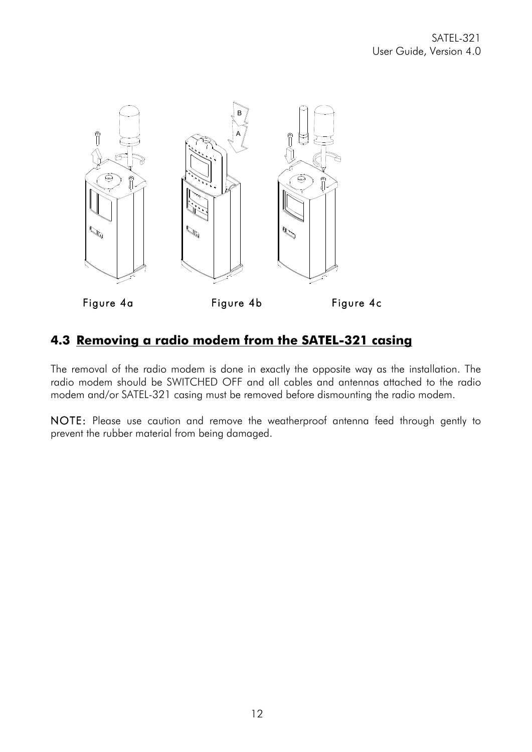

#### **4.3 Removing a radio modem from the SATEL-321 casing**

The removal of the radio modem is done in exactly the opposite way as the installation. The radio modem should be SWITCHED OFF and all cables and antennas attached to the radio modem and/or SATEL-321 casing must be removed before dismounting the radio modem.

NOTE: Please use caution and remove the weatherproof antenna feed through gently to prevent the rubber material from being damaged.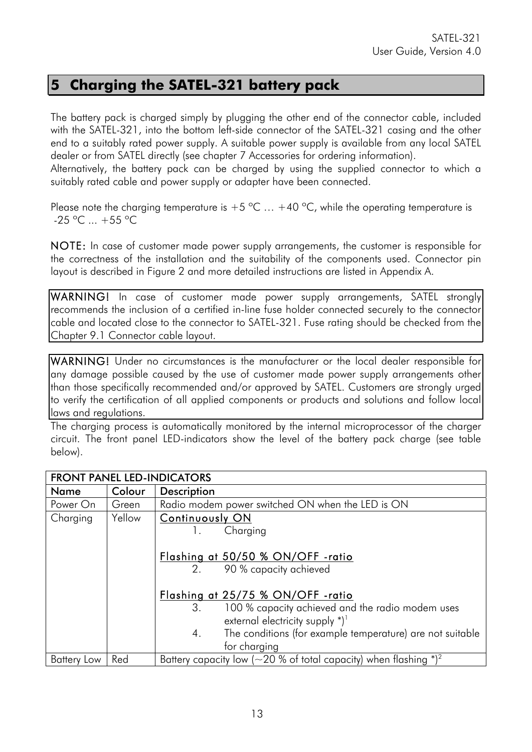### **5 Charging the SATEL-321 battery pack**

The battery pack is charged simply by plugging the other end of the connector cable, included with the SATEL-321, into the bottom left-side connector of the SATEL-321 casing and the other end to a suitably rated power supply. A suitable power supply is available from any local SATEL dealer or from SATEL directly (see chapter 7 Accessories for ordering information).

Alternatively, the battery pack can be charged by using the supplied connector to which a suitably rated cable and power supply or adapter have been connected.

Please note the charging temperature is  $+5$  °C  $\ldots$  +40 °C, while the operating temperature is  $-25$  °C  $... +55$  °C

NOTE: In case of customer made power supply arrangements, the customer is responsible for the correctness of the installation and the suitability of the components used. Connector pin layout is described in Figure 2 and more detailed instructions are listed in Appendix A.

WARNING! In case of customer made power supply arrangements, SATEL strongly recommends the inclusion of a certified in-line fuse holder connected securely to the connector cable and located close to the connector to SATEL-321. Fuse rating should be checked from the Chapter 9.1 Connector cable layout.

WARNING! Under no circumstances is the manufacturer or the local dealer responsible for any damage possible caused by the use of customer made power supply arrangements other than those specifically recommended and/or approved by SATEL. Customers are strongly urged to verify the certification of all applied components or products and solutions and follow local laws and regulations.

The charging process is automatically monitored by the internal microprocessor of the charger circuit. The front panel LED-indicators show the level of the battery pack charge (see table below).

| <b>FRONT PANEL LED-INDICATORS</b> |        |                                                                                              |  |  |
|-----------------------------------|--------|----------------------------------------------------------------------------------------------|--|--|
| Name                              | Colour | <b>Description</b>                                                                           |  |  |
| Power On                          | Green  | Radio modem power switched ON when the LED is ON                                             |  |  |
| Charging                          | Yellow | <b>Continuously ON</b>                                                                       |  |  |
|                                   |        | Charging<br>$\mathbf{L}$                                                                     |  |  |
|                                   |        | Flashing at 50/50 % ON/OFF -ratio<br>90 % capacity achieved<br>2.                            |  |  |
|                                   |        | Flashing at 25/75 % ON/OFF -ratio                                                            |  |  |
|                                   |        | 100 % capacity achieved and the radio modem uses<br>3.<br>external electricity supply $*)^1$ |  |  |
|                                   |        | The conditions (for example temperature) are not suitable<br>4.<br>for charging              |  |  |
| <b>Battery Low</b>                | Red    | Battery capacity low ( $\sim$ 20 % of total capacity) when flashing $^*$ ) <sup>2</sup>      |  |  |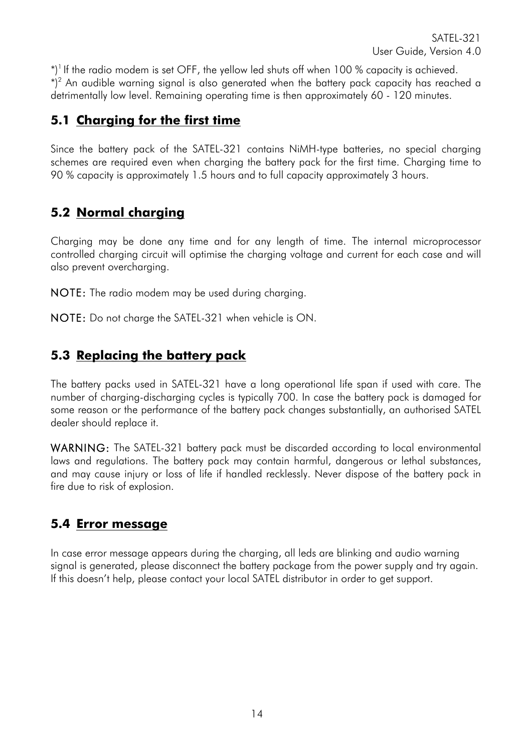$^*$ )<sup>1</sup> If the radio modem is set OFF, the yellow led shuts off when 100 % capacity is achieved.  $\mathbb{P}^2$  An audible warning signal is also generated when the battery pack capacity has reached a detrimentally low level. Remaining operating time is then approximately 60 - 120 minutes.

### **5.1 Charging for the first time**

Since the battery pack of the SATEL-321 contains NiMH-type batteries, no special charging schemes are required even when charging the battery pack for the first time. Charging time to 90 % capacity is approximately 1.5 hours and to full capacity approximately 3 hours.

### **5.2 Normal charging**

Charging may be done any time and for any length of time. The internal microprocessor controlled charging circuit will optimise the charging voltage and current for each case and will also prevent overcharging.

NOTE: The radio modem may be used during charging.

NOTE: Do not charge the SATEL-321 when vehicle is ON.

### **5.3 Replacing the battery pack**

The battery packs used in SATEL-321 have a long operational life span if used with care. The number of charging-discharging cycles is typically 700. In case the battery pack is damaged for some reason or the performance of the battery pack changes substantially, an authorised SATEL dealer should replace it.

WARNING: The SATEL-321 battery pack must be discarded according to local environmental laws and regulations. The battery pack may contain harmful, dangerous or lethal substances, and may cause injury or loss of life if handled recklessly. Never dispose of the battery pack in fire due to risk of explosion.

#### **5.4 Error message**

In case error message appears during the charging, all leds are blinking and audio warning signal is generated, please disconnect the battery package from the power supply and try again. If this doesn't help, please contact your local SATEL distributor in order to get support.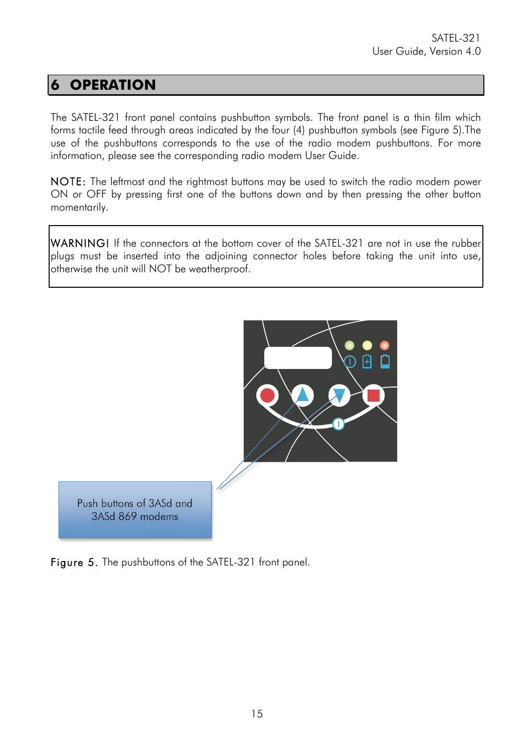# **6 OPERATION**

The SATEL-321 front panel contains pushbutton symbols. The front panel is a thin film which forms tactile feed through areas indicated by the four (4) pushbutton symbols (see Figure 5).The use of the pushbuttons corresponds to the use of the radio modem pushbuttons. For more information, please see the corresponding radio modem User Guide.

NOTE: The leftmost and the rightmost buttons may be used to switch the radio modem power ON or OFF by pressing first one of the buttons down and by then pressing the other button momentarily.

WARNING! If the connectors at the bottom cover of the SATEL-321 are not in use the rubber plugs must be inserted into the adjoining connector holes before taking the unit into use, otherwise the unit will NOT be weatherproof.



Figure 5. The pushbuttons of the SATEL-321 front panel.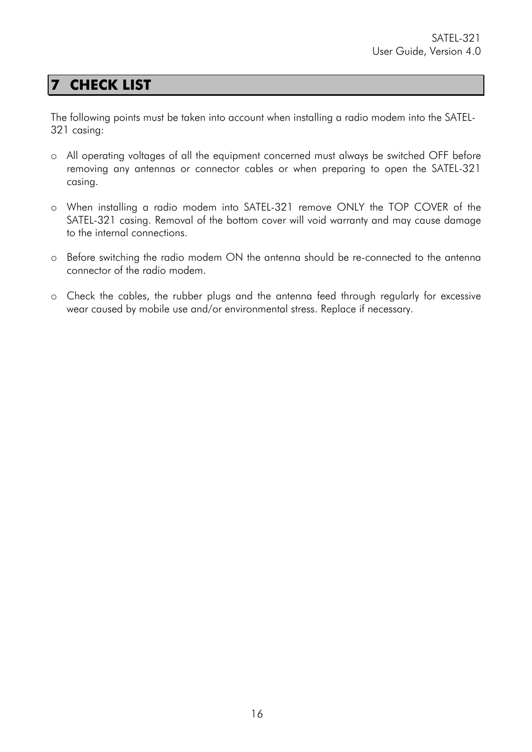### **7 CHECK LIST**

The following points must be taken into account when installing a radio modem into the SATEL-321 casing:

- o All operating voltages of all the equipment concerned must always be switched OFF before removing any antennas or connector cables or when preparing to open the SATEL-321 casing.
- o When installing a radio modem into SATEL-321 remove ONLY the TOP COVER of the SATEL-321 casing. Removal of the bottom cover will void warranty and may cause damage to the internal connections.
- o Before switching the radio modem ON the antenna should be re-connected to the antenna connector of the radio modem.
- o Check the cables, the rubber plugs and the antenna feed through regularly for excessive wear caused by mobile use and/or environmental stress. Replace if necessary.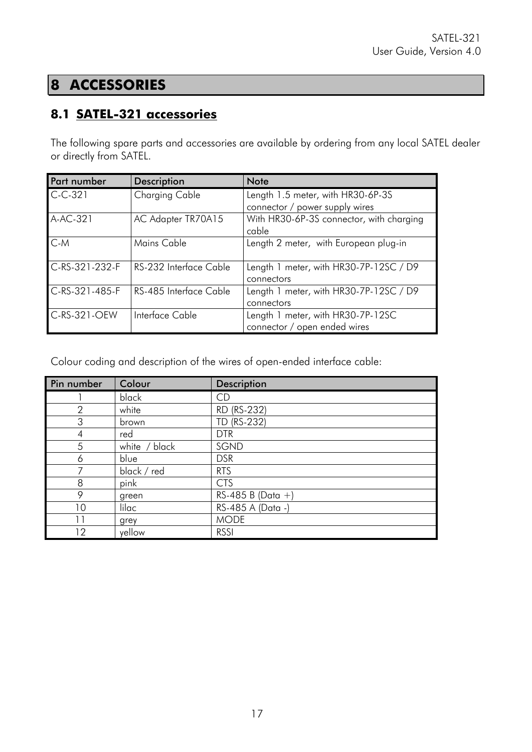# **8 ACCESSORIES**

### **8.1 SATEL-321 accessories**

The following spare parts and accessories are available by ordering from any local SATEL dealer or directly from SATEL.

| <b>Part number</b> | <b>Description</b>     | <b>Note</b>                              |  |
|--------------------|------------------------|------------------------------------------|--|
| $C-C-321$          | Charging Cable         | Length 1.5 meter, with HR30-6P-3S        |  |
|                    |                        | connector / power supply wires           |  |
| A-AC-321           | AC Adapter TR70A15     | With HR30-6P-3S connector, with charging |  |
|                    |                        | cable                                    |  |
| $C-M$              | Mains Cable            | Length 2 meter, with European plug-in    |  |
|                    |                        |                                          |  |
| $C-RS-321-232-F$   | RS-232 Interface Cable | Length 1 meter, with HR30-7P-12SC / D9   |  |
|                    |                        | connectors                               |  |
| C-RS-321-485-F     | RS-485 Interface Cable | Length 1 meter, with HR30-7P-12SC / D9   |  |
|                    |                        | connectors                               |  |
| C-RS-321-OEW       | Interface Cable        | Length 1 meter, with HR30-7P-12SC        |  |
|                    |                        | connector / open ended wires             |  |

Colour coding and description of the wires of open-ended interface cable:

| Pin number     | Colour        | <b>Description</b>   |
|----------------|---------------|----------------------|
|                | black         | CD                   |
| $\overline{2}$ | white         | RD (RS-232)          |
| 3              | brown         | TD (RS-232)          |
| 4              | red           | <b>DTR</b>           |
| 5              | white / black | SGND                 |
| 6              | blue          | <b>DSR</b>           |
| 7              | black / red   | <b>RTS</b>           |
| 8              | pink          | <b>CTS</b>           |
| 9              | green         | $RS-485 B (Data + )$ |
| 10             | lilac         | RS-485 A (Data -)    |
| 11             | grey          | <b>MODE</b>          |
| 12             | yellow        | <b>RSSI</b>          |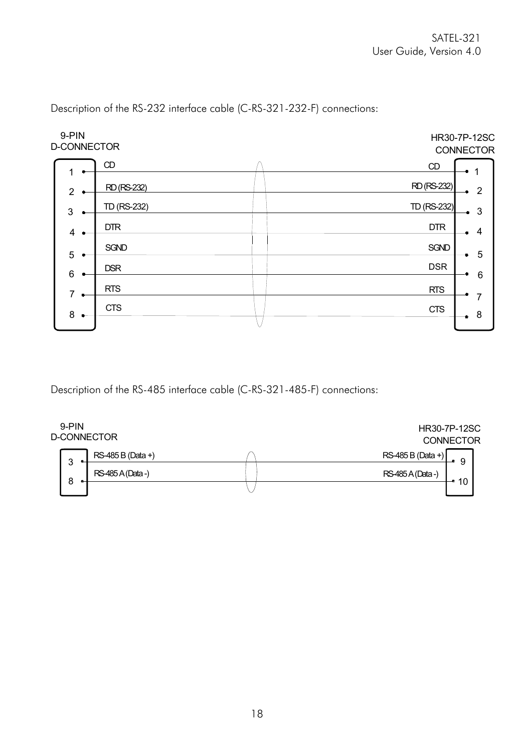

Description of the RS-232 interface cable (C-RS-321-232-F) connections:

Description of the RS-485 interface cable (C-RS-321-485-F) connections:

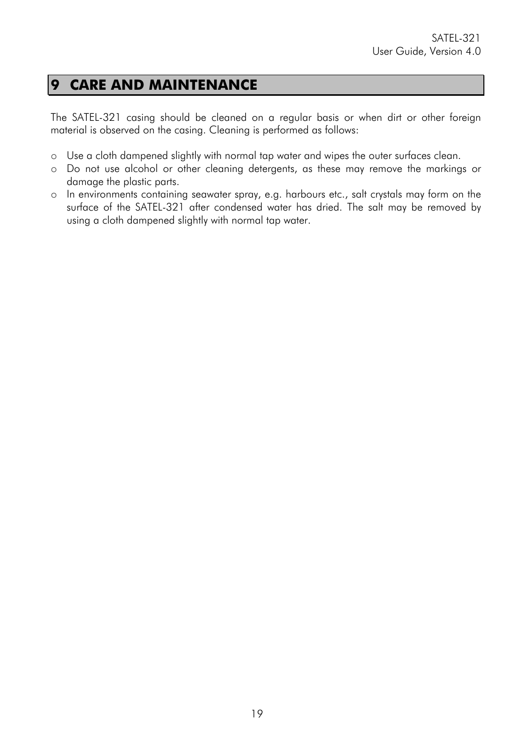### **9 CARE AND MAINTENANCE**

The SATEL-321 casing should be cleaned on a regular basis or when dirt or other foreign material is observed on the casing. Cleaning is performed as follows:

- o Use a cloth dampened slightly with normal tap water and wipes the outer surfaces clean.
- o Do not use alcohol or other cleaning detergents, as these may remove the markings or damage the plastic parts.
- o In environments containing seawater spray, e.g. harbours etc., salt crystals may form on the surface of the SATEL-321 after condensed water has dried. The salt may be removed by using a cloth dampened slightly with normal tap water.